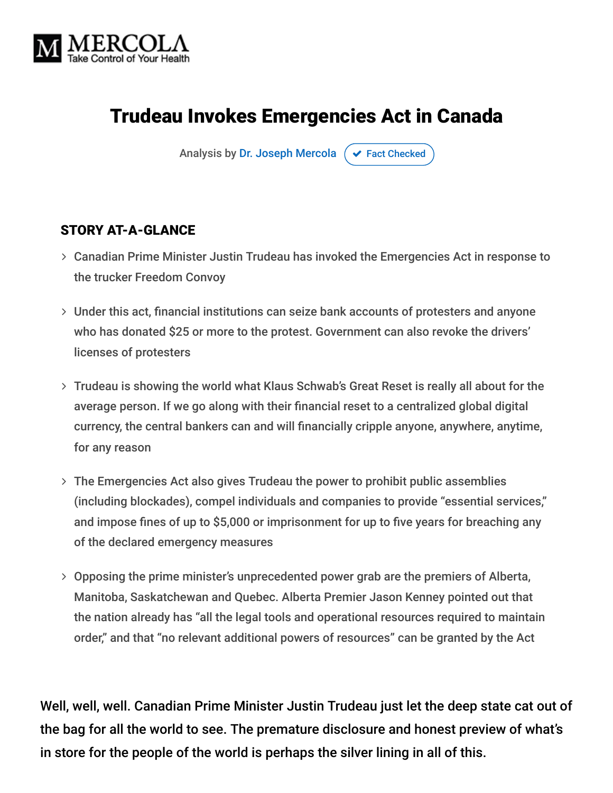

## Trudeau Invokes Emergencies Act in Canada

Analysis by [Dr. Joseph Mercola](https://www.mercola.com/forms/background.htm)  $\sigma$  [Fact Checked](javascript:void(0))

#### STORY AT-A-GLANCE

- Canadian Prime Minister Justin Trudeau has invoked the Emergencies Act in response to the trucker Freedom Convoy
- Under this act, financial institutions can seize bank accounts of protesters and anyone who has donated \$25 or more to the protest. Government can also revoke the drivers' licenses of protesters
- Trudeau is showing the world what Klaus Schwab's Great Reset is really all about for the average person. If we go along with their financial reset to a centralized global digital currency, the central bankers can and will financially cripple anyone, anywhere, anytime, for any reason
- The Emergencies Act also gives Trudeau the power to prohibit public assemblies (including blockades), compel individuals and companies to provide "essential services," and impose fines of up to \$5,000 or imprisonment for up to five years for breaching any of the declared emergency measures
- Opposing the prime minister's unprecedented power grab are the premiers of Alberta, Manitoba, Saskatchewan and Quebec. Alberta Premier Jason Kenney pointed out that the nation already has "all the legal tools and operational resources required to maintain order," and that "no relevant additional powers of resources" can be granted by the Act

Well, well, well. Canadian Prime Minister Justin Trudeau just let the deep state cat out of the bag for all the world to see. The premature disclosure and honest preview of what's in store for the people of the world is perhaps the silver lining in all of this.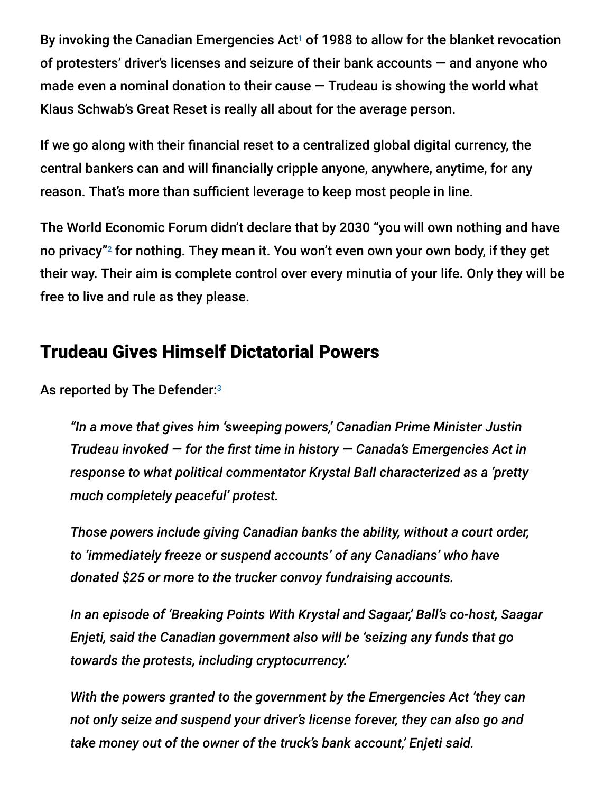By invoking the Canadian Emergencies Act<sup>1</sup> of 1988 to allow for the blanket revocation of protesters' driver's licenses and seizure of their bank accounts — and anyone who made even a nominal donation to their cause  $-$  Trudeau is showing the world what Klaus Schwab's Great Reset is really all about for the average person.

If we go along with their financial reset to a centralized global digital currency, the central bankers can and will financially cripple anyone, anywhere, anytime, for any reason. That's more than sufficient leverage to keep most people in line.

The World Economic Forum didn't declare that by 2030 "you will own nothing and have no privacy"<sup>2</sup> for nothing. They mean it. You won't even own your own body, if they get their way. Their aim is complete control over every minutia of your life. Only they will be free to live and rule as they please.

#### Trudeau Gives Himself Dictatorial Powers

As reported by The Defender:<sup>3</sup>

*"In a move that gives him 'sweeping powers,' Canadian Prime Minister Justin Trudeau invoked — for the first time in history — Canada's Emergencies Act in response to what political commentator Krystal Ball characterized as a 'pretty much completely peaceful' protest.*

*Those powers include giving Canadian banks the ability, without a court order, to 'immediately freeze or suspend accounts' of any Canadians' who have donated \$25 or more to the trucker convoy fundraising accounts.*

*In an episode of 'Breaking Points With Krystal and Sagaar,' Ball's co-host, Saagar Enjeti, said the Canadian government also will be 'seizing any funds that go towards the protests, including cryptocurrency.'*

*With the powers granted to the government by the Emergencies Act 'they can not only seize and suspend your driver's license forever, they can also go and take money out of the owner of the truck's bank account,' Enjeti said.*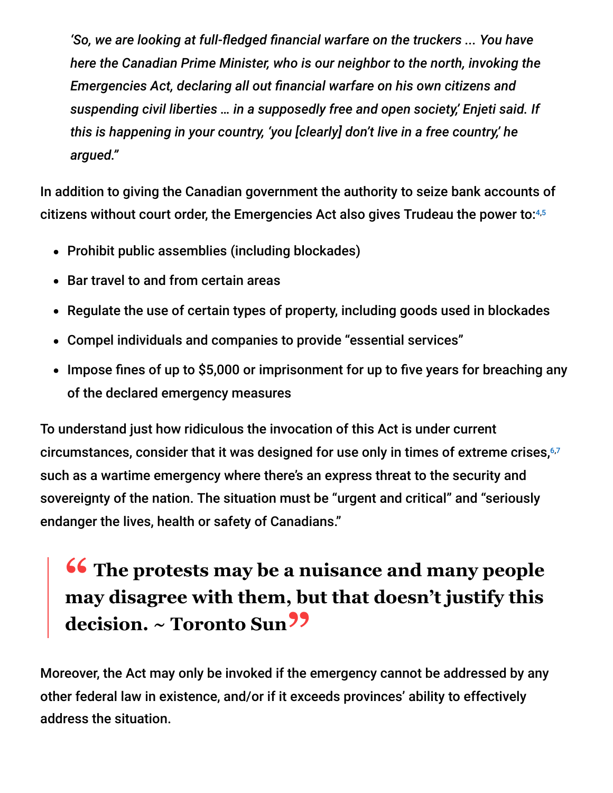*'So, we are looking at full-fledged financial warfare on the truckers ... You have here the Canadian Prime Minister, who is our neighbor to the north, invoking the Emergencies Act, declaring all out financial warfare on his own citizens and suspending civil liberties … in a supposedly free and open society,' Enjeti said. If this is happening in your country, 'you [clearly] don't live in a free country,' he argued."*

In addition to giving the Canadian government the authority to seize bank accounts of citizens without court order, the Emergencies Act also gives Trudeau the power to: 4,5

- Prohibit public assemblies (including blockades)
- Bar travel to and from certain areas
- Regulate the use of certain types of property, including goods used in blockades
- Compel individuals and companies to provide "essential services"
- Impose fines of up to \$5,000 or imprisonment for up to five years for breaching any of the declared emergency measures

To understand just how ridiculous the invocation of this Act is under current circumstances, consider that it was designed for use only in times of extreme crises, 6,7such as a wartime emergency where there's an express threat to the security and sovereignty of the nation. The situation must be "urgent and critical" and "seriously endanger the lives, health or safety of Canadians."

# **<sup>66</sup>** The protests may be a nuisance and many people<br>may disagree with them but that doesn't instify this **may disagree with them, but that doesn't justify this decision. ~ Toronto Sun"**

Moreover, the Act may only be invoked if the emergency cannot be addressed by any other federal law in existence, and/or if it exceeds provinces' ability to effectively address the situation.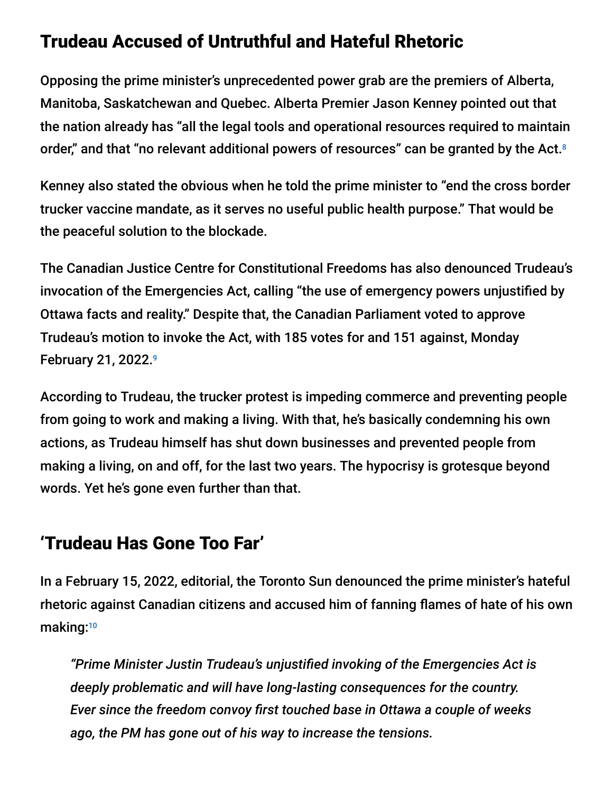#### Trudeau Accused of Untruthful and Hateful Rhetoric

Opposing the prime minister's unprecedented power grab are the premiers of Alberta, Manitoba, Saskatchewan and Quebec. Alberta Premier Jason Kenney pointed out that the nation already has "all the legal tools and operational resources required to maintain order," and that "no relevant additional powers of resources" can be granted by the Act.<sup>8</sup>

Kenney also stated the obvious when he told the prime minister to "end the cross border trucker vaccine mandate, as it serves no useful public health purpose." That would be the peaceful solution to the blockade.

The Canadian Justice Centre for Constitutional Freedoms has also denounced Trudeau's invocation of the Emergencies Act, calling "the use of emergency powers unjustified by Ottawa facts and reality." Despite that, the Canadian Parliament voted to approve Trudeau's motion to invoke the Act, with 185 votes for and 151 against, Monday February 21, 2022. 9

According to Trudeau, the trucker protest is impeding commerce and preventing people from going to work and making a living. With that, he's basically condemning his own actions, as Trudeau himself has shut down businesses and prevented people from making a living, on and off, for the last two years. The hypocrisy is grotesque beyond words. Yet he's gone even further than that.

### 'Trudeau Has Gone Too Far'

In a February 15, 2022, editorial, the Toronto Sun denounced the prime minister's hateful rhetoric against Canadian citizens and accused him of fanning flames of hate of his own making: 10

*"Prime Minister Justin Trudeau's unjustified invoking of the Emergencies Act is deeply problematic and will have long-lasting consequences for the country. Ever since the freedom convoy first touched base in Ottawa a couple of weeks ago, the PM has gone out of his way to increase the tensions.*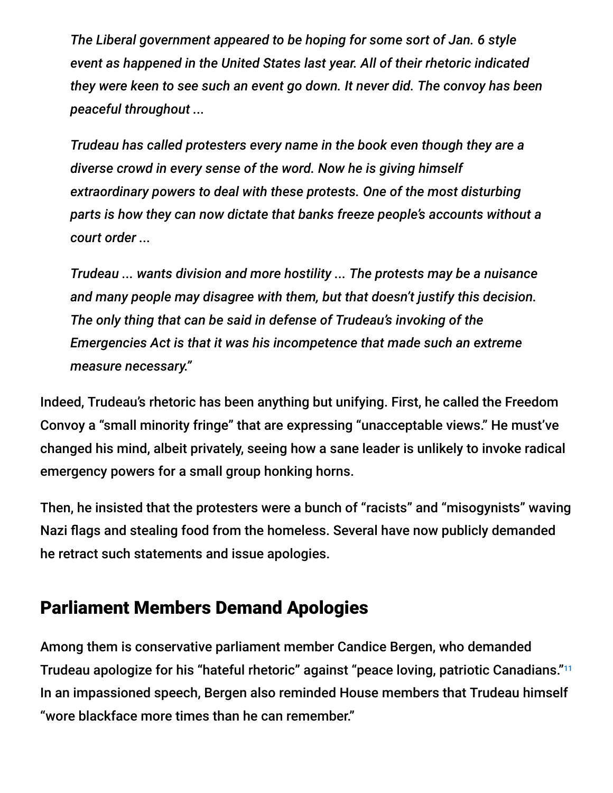*The Liberal government appeared to be hoping for some sort of Jan. 6 style event as happened in the United States last year. All of their rhetoric indicated they were keen to see such an event go down. It never did. The convoy has been peaceful throughout ...*

*Trudeau has called protesters every name in the book even though they are a diverse crowd in every sense of the word. Now he is giving himself extraordinary powers to deal with these protests. One of the most disturbing parts is how they can now dictate that banks freeze people's accounts without a court order ...*

*Trudeau ... wants division and more hostility ... The protests may be a nuisance and many people may disagree with them, but that doesn't justify this decision. The only thing that can be said in defense of Trudeau's invoking of the Emergencies Act is that it was his incompetence that made such an extreme measure necessary."*

Indeed, Trudeau's rhetoric has been anything but unifying. First, he called the Freedom Convoy a "small minority fringe" that are expressing "unacceptable views." He must've changed his mind, albeit privately, seeing how a sane leader is unlikely to invoke radical emergency powers for a small group honking horns.

Then, he insisted that the protesters were a bunch of "racists" and "misogynists" waving Nazi flags and stealing food from the homeless. Several have now publicly demanded he retract such statements and issue apologies.

#### Parliament Members Demand Apologies

Among them is conservative parliament member Candice Bergen, who demanded Trudeau apologize for his "hateful rhetoric" against "peace loving, patriotic Canadians." 11In an impassioned speech, Bergen also reminded House members that Trudeau himself "wore blackface more times than he can remember."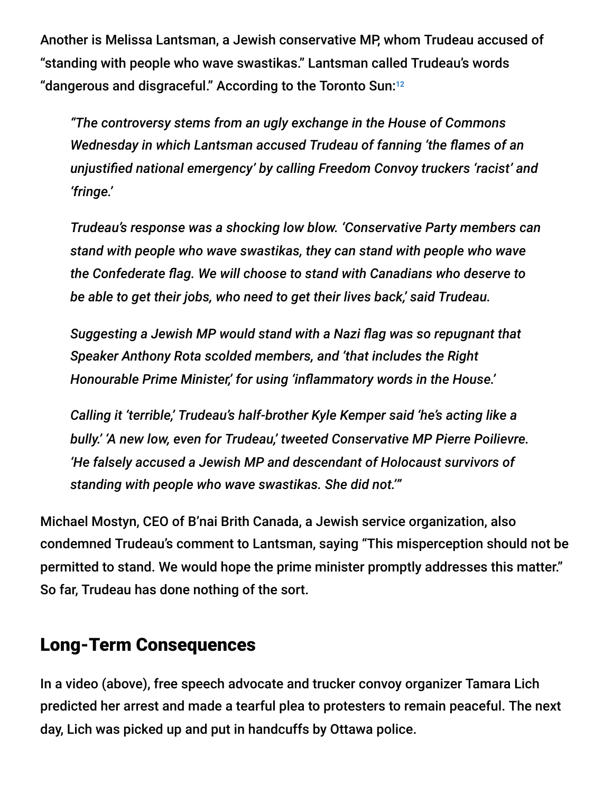Another is Melissa Lantsman, a Jewish conservative MP, whom Trudeau accused of "standing with people who wave swastikas." Lantsman called Trudeau's words "dangerous and disgraceful." According to the Toronto Sun: 12

*"The controversy stems from an ugly exchange in the House of Commons Wednesday in which Lantsman accused Trudeau of fanning 'the flames of an unjustified national emergency' by calling Freedom Convoy truckers 'racist' and 'fringe.'*

*Trudeau's response was a shocking low blow. 'Conservative Party members can stand with people who wave swastikas, they can stand with people who wave the Confederate flag. We will choose to stand with Canadians who deserve to be able to get their jobs, who need to get their lives back,' said Trudeau.*

*Suggesting a Jewish MP would stand with a Nazi flag was so repugnant that Speaker Anthony Rota scolded members, and 'that includes the Right Honourable Prime Minister,' for using 'inflammatory words in the House.'*

*Calling it 'terrible,' Trudeau's half-brother Kyle Kemper said 'he's acting like a bully.' 'A new low, even for Trudeau,' tweeted Conservative MP Pierre Poilievre. 'He falsely accused a Jewish MP and descendant of Holocaust survivors of standing with people who wave swastikas. She did not.'"*

Michael Mostyn, CEO of B'nai Brith Canada, a Jewish service organization, also condemned Trudeau's comment to Lantsman, saying "This misperception should not be permitted to stand. We would hope the prime minister promptly addresses this matter." So far, Trudeau has done nothing of the sort.

#### Long-Term Consequences

In a video (above), free speech advocate and trucker convoy organizer Tamara Lich predicted her arrest and made a tearful plea to protesters to remain peaceful. The next day, Lich was picked up and put in handcuffs by Ottawa police.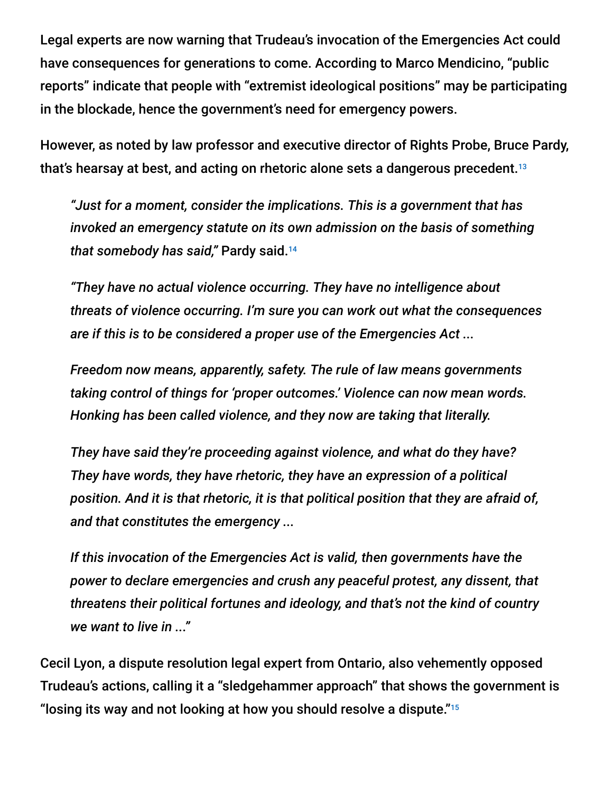Legal experts are now warning that Trudeau's invocation of the Emergencies Act could have consequences for generations to come. According to Marco Mendicino, "public reports" indicate that people with "extremist ideological positions" may be participating in the blockade, hence the government's need for emergency powers.

However, as noted by law professor and executive director of Rights Probe, Bruce Pardy, that's hearsay at best, and acting on rhetoric alone sets a dangerous precedent. 13

*"Just for a moment, consider the implications. This is a government that has invoked an emergency statute on its own admission on the basis of something that somebody has said,"* Pardy said. 14

*"They have no actual violence occurring. They have no intelligence about threats of violence occurring. I'm sure you can work out what the consequences are if this is to be considered a proper use of the Emergencies Act ...*

*Freedom now means, apparently, safety. The rule of law means governments taking control of things for 'proper outcomes.' Violence can now mean words. Honking has been called violence, and they now are taking that literally.*

*They have said they're proceeding against violence, and what do they have? They have words, they have rhetoric, they have an expression of a political position. And it is that rhetoric, it is that political position that they are afraid of, and that constitutes the emergency ...*

*If this invocation of the Emergencies Act is valid, then governments have the power to declare emergencies and crush any peaceful protest, any dissent, that threatens their political fortunes and ideology, and that's not the kind of country we want to live in ..."*

Cecil Lyon, a dispute resolution legal expert from Ontario, also vehemently opposed Trudeau's actions, calling it a "sledgehammer approach" that shows the government is "losing its way and not looking at how you should resolve a dispute." $^{\scriptscriptstyle 15}$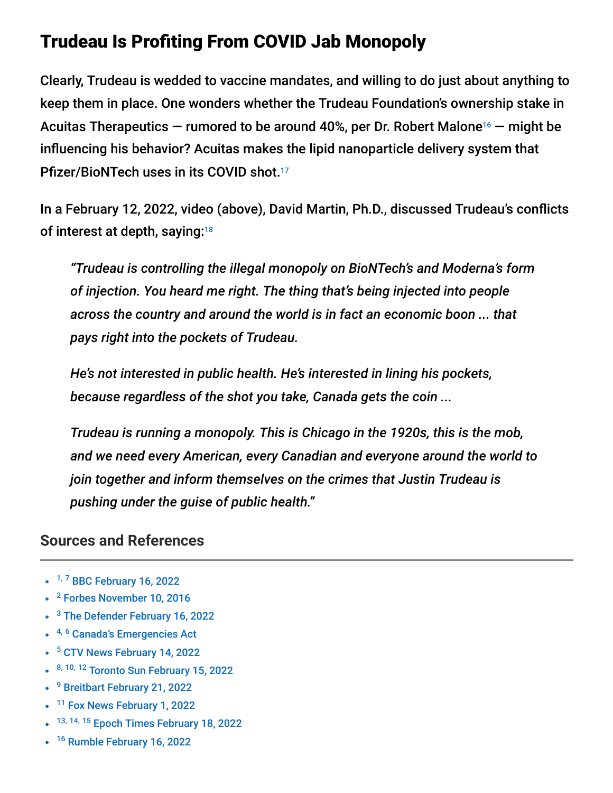### Trudeau Is Profiting From COVID Jab Monopoly

Clearly, Trudeau is wedded to vaccine mandates, and willing to do just about anything to keep them in place. One wonders whether the Trudeau Foundation's ownership stake in Acuitas Therapeutics  $-$  rumored to be around 40%, per Dr. Robert Malone<sup>16</sup>  $-$  might be influencing his behavior? Acuitas makes the lipid nanoparticle delivery system that Pfizer/BioNTech uses in its COVID shot. 17

In a February 12, 2022, video (above), David Martin, Ph.D., discussed Trudeau's conflicts of interest at depth, saying:<sup>18</sup>

*"Trudeau is controlling the illegal monopoly on BioNTech's and Moderna's form of injection. You heard me right. The thing that's being injected into people across the country and around the world is in fact an economic boon ... that pays right into the pockets of Trudeau.*

*He's not interested in public health. He's interested in lining his pockets, because regardless of the shot you take, Canada gets the coin ...*

*Trudeau is running a monopoly. This is Chicago in the 1920s, this is the mob, and we need every American, every Canadian and everyone around the world to join together and inform themselves on the crimes that Justin Trudeau is pushing under the guise of public health."*

#### **Sources and References**

- <sup>1, 7</sup> [BBC February 16, 2022](https://www.bbc.com/news/world-us-canada-60381096)
- <sup>2</sup> [Forbes November 10, 2016](https://www.forbes.com/sites/worldeconomicforum/2016/11/10/shopping-i-cant-really-remember-what-that-is-or-how-differently-well-live-in-2030/?sh=4bb352391735)
- <sup>3</sup> [The Defender February 16, 2022](https://childrenshealthdefense.org/defender/trudeau-full-fledged-financial-warfare-freedom-convoy-protesters/)
- <sup>4, 6</sup> [Canada's Emergencies Act](https://www.canada.ca/en/department-justice/news/2022/02/canadas-emergencies-act.html)
- <sup>5</sup> [CTV News February 14, 2022](https://www.ctvnews.ca/politics/the-emergencies-act-has-been-enacted-here-s-what-that-means-1.5781457)
- 8, 10, 12 [Toronto Sun February 15, 2022](https://torontosun.com/opinion/editorials/editorial-trudeau-has-gone-too-far?utm_medium=Social&utm_source=Twitter#Echobox=1644885375)
- <sup>9</sup> [Breitbart February 21, 2022](https://www.breitbart.com/europe/2022/02/21/tyranny-canadian-parliament-votes-emergencies-act-motion/)
- <sup>11</sup> [Fox News February 1, 2022](https://www.foxnews.com/world/conservative-canadian-trucker-convoy-justin-trudeau-apology)
- 13, 14, 15 [Epoch Times February 18, 2022](https://www.theepochtimes.com/trudeaus-emergencies-act-poses-serious-consequences-to-canadians-legal-experts_4288001.html)
- <sup>16</sup> [Rumble February 16, 2022](https://rumble.com/vv4h1n-justin-trudeau-and-his-familys-foundation-holds-40-of-acuitas.html)